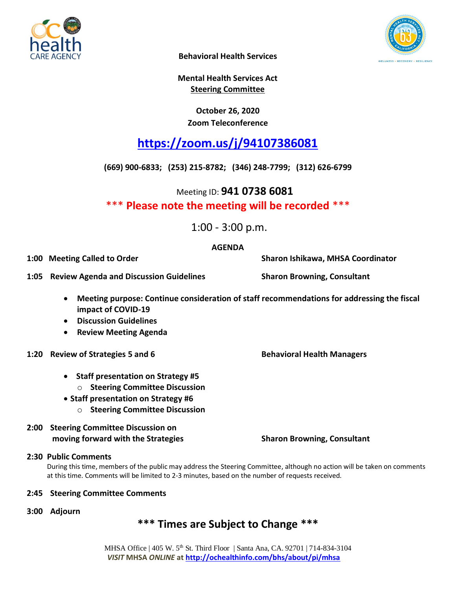



**Behavioral Health Services**

**Mental Health Services Act Steering Committee**

### **October 26, 2020 Zoom Teleconference**

# **<https://zoom.us/j/94107386081>**

**(669) 900-6833; (253) 215-8782; (346) 248-7799; (312) 626-6799**

Meeting ID: **941 0738 6081**

## \*\*\* **Please note the meeting will be recorded** \*\*\*

1:00 - 3:00 p.m.

#### **AGENDA**

**1:00 Meeting Called to Order Sharon Ishikawa, MHSA Coordinator**

**1:05 Review Agenda and Discussion Guidelines Sharon Browning, Consultant**

- **Meeting purpose: Continue consideration of staff recommendations for addressing the fiscal impact of COVID-19**
- **Discussion Guidelines**
- **Review Meeting Agenda**
- **1:20 Review of Strategies 5 and 6 Behavioral Health Managers**
	- **Staff presentation on Strategy #5**
		- o **Steering Committee Discussion**
	- **Staff presentation on Strategy #6**
		- o **Steering Committee Discussion**
- **2:00 Steering Committee Discussion on moving forward with the Strategies Sharon Browning, Consultant**

#### **2:30 Public Comments**

During this time, members of the public may address the Steering Committee, although no action will be taken on comments at this time. Comments will be limited to 2-3 minutes, based on the number of requests received.

#### **2:45 Steering Committee Comments**

**3:00 Adjourn**

## **\*\*\* Times are Subject to Change \*\*\***